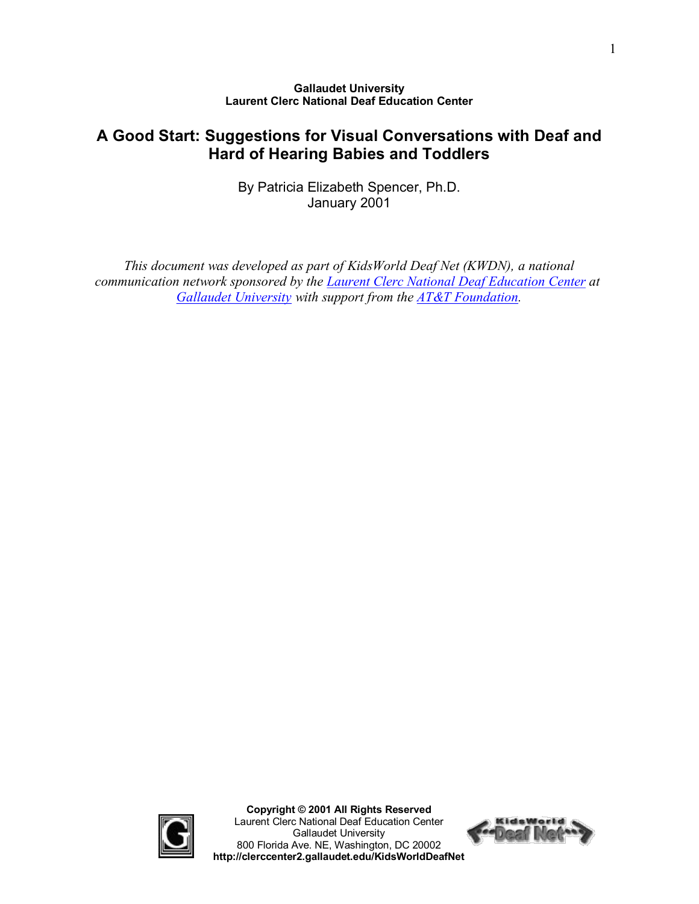#### **Gallaudet University Laurent Clerc National Deaf Education Center**

# **A Good Start: Suggestions for Visual Conversations with Deaf and Hard of Hearing Babies and Toddlers**

By Patricia Elizabeth Spencer, Ph.D. January 2001

*This document was developed as part of KidsWorld Deaf Net (KWDN), a national communication network sponsored by the [Laurent Clerc National Deaf](http://clerccenter.gallaudet.edu/) Education Center at [Gallaudet University](http://www.gallaudet.edu/) with support from the [AT&T Foundation](http://www.att.com/foundation/).*



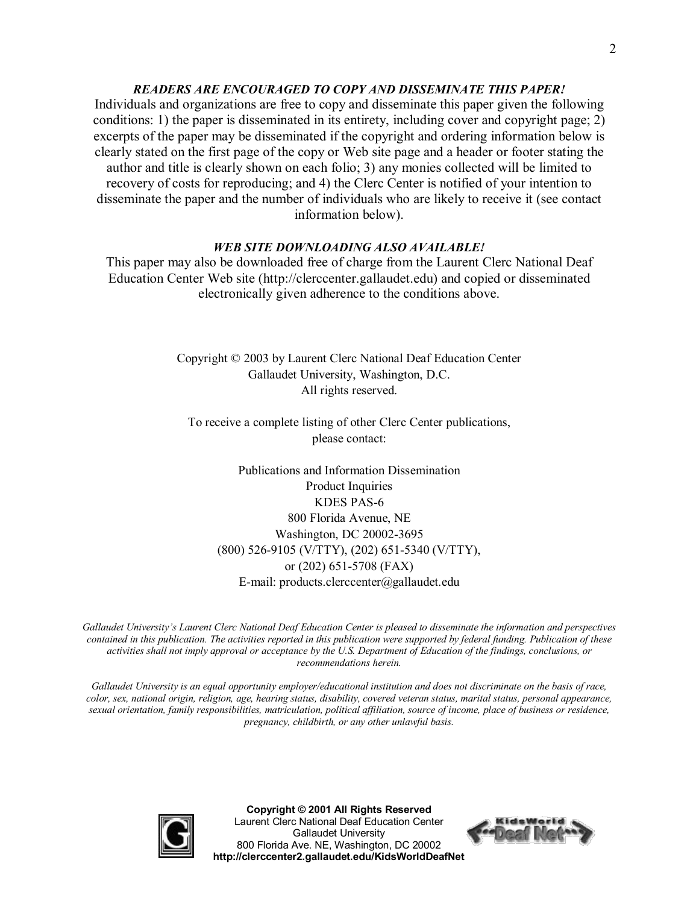#### *READERS ARE ENCOURAGED TO COPY AND DISSEMINATE THIS PAPER!*

Individuals and organizations are free to copy and disseminate this paper given the following conditions: 1) the paper is disseminated in its entirety, including cover and copyright page; 2) excerpts of the paper may be disseminated if the copyright and ordering information below is clearly stated on the first page of the copy or Web site page and a header or footer stating the author and title is clearly shown on each folio; 3) any monies collected will be limited to recovery of costs for reproducing; and 4) the Clerc Center is notified of your intention to disseminate the paper and the number of individuals who are likely to receive it (see contact information below).

#### *WEB SITE DOWNLOADING ALSO AVAILABLE!*

This paper may also be downloaded free of charge from the Laurent Clerc National Deaf Education Center Web site (http://clerccenter.gallaudet.edu) and copied or disseminated electronically given adherence to the conditions above.

> Copyright © 2003 by Laurent Clerc National Deaf Education Center Gallaudet University, Washington, D.C. All rights reserved.

To receive a complete listing of other Clerc Center publications, please contact:

Publications and Information Dissemination Product Inquiries KDES PAS-6 800 Florida Avenue, NE Washington, DC 20002-3695 (800) 526-9105 (V/TTY), (202) 651-5340 (V/TTY), or  $(202)$  651-5708 (FAX) Email: products.clerccenter@gallaudet.edu

*Gallaudet University's Laurent Clerc National Deaf Education Center is pleased to disseminate the information and perspectives contained in this publication. The activities reported in this publication were supported by federal funding. Publication of these* activities shall not imply approval or acceptance by the U.S. Department of Education of the findings, conclusions, or *recommendations herein.*

Gallaudet University is an equal opportunity employer/educational institution and does not discriminate on the basis of race, *color, sex, national origin, religion, age, hearing status, disability, covered veteran status, marital status, personal appearance,* sexual orientation, family responsibilities, matriculation, political affiliation, source of income, place of business or residence, *pregnancy, childbirth, or any other unlawful basis.*



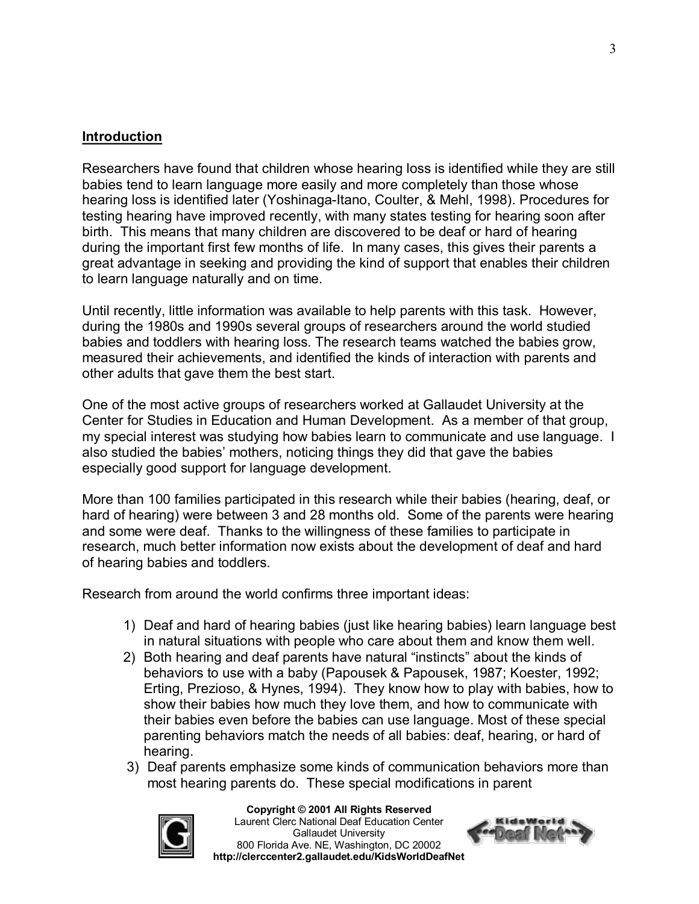## **Introduction**

Researchers have found that children whose hearing loss is identified while they are still babies tend to learn language more easily and more completely than those whose hearing loss is identified later (Yoshinaga-Itano, Coulter, & Mehl, 1998). Procedures for testing hearing have improved recently, with many states testing for hearing soon after birth. This means that many children are discovered to be deaf or hard of hearing during the important first few months of life. In many cases, this gives their parents a great advantage in seeking and providing the kind of support that enables their children to learn language naturally and on time.

Until recently, little information was available to help parents with this task. However, during the 1980s and 1990s several groups of researchers around the world studied babies and toddlers with hearing loss. The research teams watched the babies grow, measured their achievements, and identified the kinds of interaction with parents and other adults that gave them the best start.

One of the most active groups of researchers worked at Gallaudet University at the Center for Studies in Education and Human Development. As a member of that group, my special interest was studying how babies learn to communicate and use language. I also studied the babies' mothers, noticing things they did that gave the babies especially good support for language development.

More than 100 families participated in this research while their babies (hearing, deaf, or hard of hearing) were between 3 and 28 months old. Some of the parents were hearing and some were deaf. Thanks to the willingness of these families to participate in research, much better information now exists about the development of deaf and hard of hearing babies and toddlers.

Research from around the world confirms three important ideas:

- 1) Deaf and hard of hearing babies (just like hearing babies) learn language best in natural situations with people who care about them and know them well.
- 2) Both hearing and deaf parents have natural "instincts" about the kinds of behaviors to use with a baby (Papousek & Papousek, 1987; Koester, 1992; Erting, Prezioso, & Hynes, 1994). They know how to play with babies, how to show their babies how much they love them, and how to communicate with their babies even before the babies can use language. Most of these special parenting behaviors match the needs of all babies: deaf, hearing, or hard of hearing.
- 3) Deaf parents emphasize some kinds of communication behaviors more than most hearing parents do. These special modifications in parent



#### **Copyright © 2001 All Rights Reserved**

Laurent Clerc National Deaf Education Center Gallaudet University 800 Florida Ave. NE, Washington, DC 20002 **http://clerccenter2.gallaudet.edu/KidsWorldDeafNet**

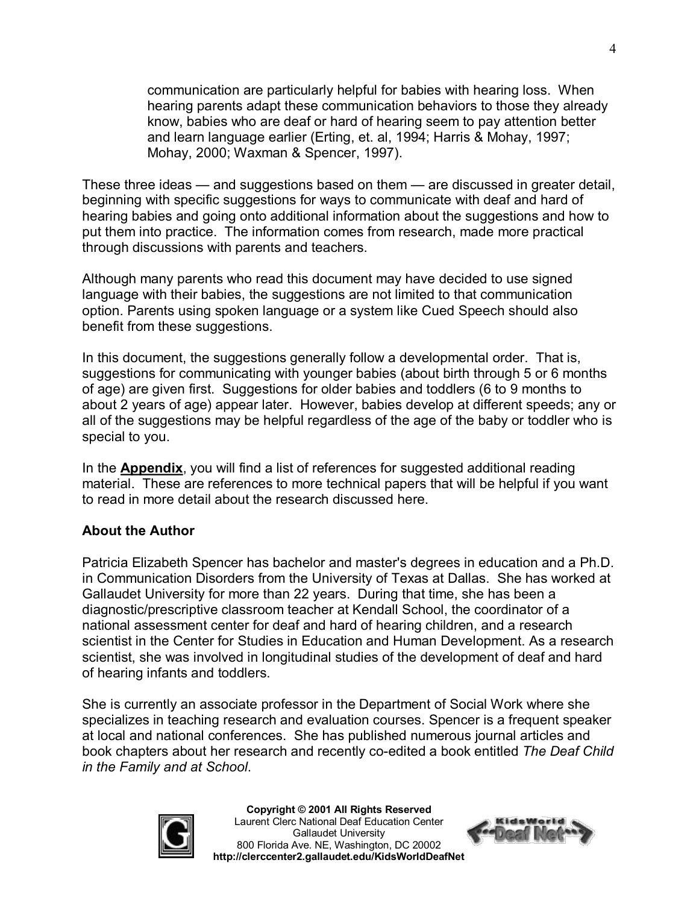communication are particularly helpful for babies with hearing loss. When hearing parents adapt these communication behaviors to those they already know, babies who are deaf or hard of hearing seem to pay attention better and learn language earlier (Erting, et. al, 1994; Harris & Mohay, 1997; Mohay, 2000; Waxman & Spencer, 1997).

These three ideas — and suggestions based on them — are discussed in greater detail, beginning with specific suggestions for ways to communicate with deaf and hard of hearing babies and going onto additional information about the suggestions and how to put them into practice. The information comes from research, made more practical through discussions with parents and teachers.

Although many parents who read this document may have decided to use signed language with their babies, the suggestions are not limited to that communication option. Parents using spoken language or a system like Cued Speech should also benefit from these suggestions.

In this document, the suggestions generally follow a developmental order. That is, suggestions for communicating with younger babies (about birth through 5 or 6 months of age) are given first. Suggestions for older babies and toddlers (6 to 9 months to about 2 years of age) appear later. However, babies develop at different speeds; any or all of the suggestions may be helpful regardless of the age of the baby or toddler who is special to you.

In the **Appendix**, you will find a list of references for suggested additional reading material. These are references to more technical papers that will be helpful if you want to read in more detail about the research discussed here.

#### **About the Author**

Patricia Elizabeth Spencer has bachelor and master's degrees in education and a Ph.D. in Communication Disorders from the University of Texas at Dallas. She has worked at Gallaudet University for more than 22 years. During that time, she has been a diagnostic/prescriptive classroom teacher at Kendall School, the coordinator of a national assessment center for deaf and hard of hearing children, and a research scientist in the Center for Studies in Education and Human Development. As a research scientist, she was involved in longitudinal studies of the development of deaf and hard of hearing infants and toddlers.

She is currently an associate professor in the Department of Social Work where she specializes in teaching research and evaluation courses. Spencer is a frequent speaker at local and national conferences. She has published numerous journal articles and book chapters about her research and recently co-edited a book entitled *The Deaf Child in the Family and at School*.



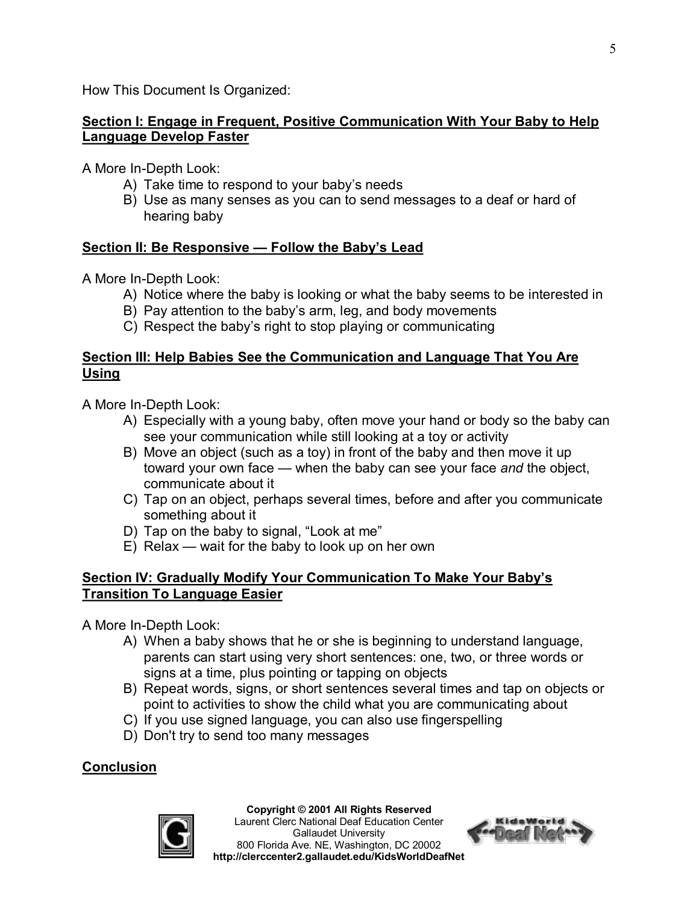How This Document Is Organized:

### **Section I: Engage in Frequent, Positive Communication With Your Baby to Help Language Develop Faster**

A More In-Depth Look:

- A) Take time to respond to your baby's needs
- B) Use as many senses as you can to send messages to a deaf or hard of hearing baby

## **Section II: Be Responsive — Follow the Baby's Lead**

A More In-Depth Look:

- A) Notice where the baby is looking or what the baby seems to be interested in
- B) Pay attention to the baby's arm, leg, and body movements
- C) Respect the baby's right to stop playing or communicating

### **Section III: Help Babies See the Communication and Language That You Are Using**

A More In-Depth Look:

- A) Especially with a young baby, often move your hand or body so the baby can see your communication while still looking at a toy or activity
- B) Move an object (such as a toy) in front of the baby and then move it up toward your own face — when the baby can see your face *and* the object, communicate about it
- C) Tap on an object, perhaps several times, before and after you communicate something about it
- D) Tap on the baby to signal, "Look at me"
- E) Relax wait for the baby to look up on her own

#### **Section IV: Gradually Modify Your Communication To Make Your Baby's Transition To Language Easier**

A More In-Depth Look:

- A) When a baby shows that he or she is beginning to understand language, parents can start using very short sentences: one, two, or three words or signs at a time, plus pointing or tapping on objects
- B) Repeat words, signs, or short sentences several times and tap on objects or point to activities to show the child what you are communicating about
- C) If you use signed language, you can also use fingerspelling
- D) Don't try to send too many messages

## **Conclusion**



#### **Copyright © 2001 All Rights Reserved**

Laurent Clerc National Deaf Education Center Gallaudet University 800 Florida Ave. NE, Washington, DC 20002 **http://clerccenter2.gallaudet.edu/KidsWorldDeafNet**

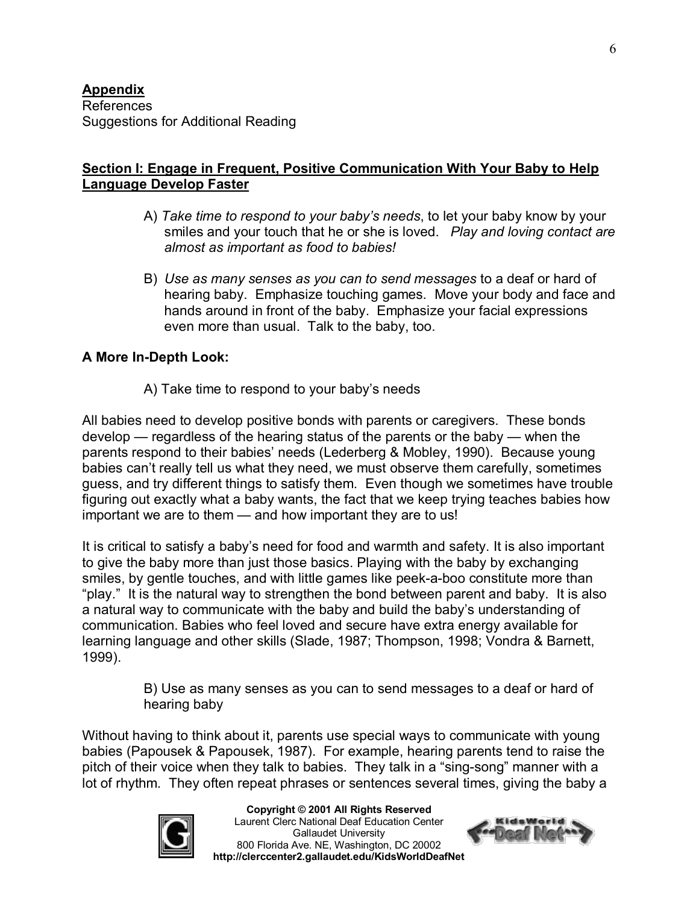### **Section I: Engage in Frequent, Positive Communication With Your Baby to Help Language Develop Faster**

- A) *Take time to respond to your baby's needs*, to let your baby know by your smiles and your touch that he or she is loved. *Play and loving contact are almost as important as food to babies!*
- B) *Use as many senses as you can to send messages* to a deaf or hard of hearing baby. Emphasize touching games. Move your body and face and hands around in front of the baby. Emphasize your facial expressions even more than usual. Talk to the baby, too.

## **A** More In-Depth Look:

A) Take time to respond to your baby's needs

All babies need to develop positive bonds with parents or caregivers. These bonds develop — regardless of the hearing status of the parents or the baby — when the parents respond to their babies' needs (Lederberg & Mobley, 1990). Because young babies can't really tell us what they need, we must observe them carefully, sometimes guess, and try different things to satisfy them. Even though we sometimes have trouble figuring out exactly what a baby wants, the fact that we keep trying teaches babies how important we are to them — and how important they are to us!

It is critical to satisfy a baby's need for food and warmth and safety. It is also important to give the baby more than just those basics. Playing with the baby by exchanging smiles, by gentle touches, and with little games like peek-a-boo constitute more than "play." It is the natural way to strengthen the bond between parent and baby. It is also a natural way to communicate with the baby and build the baby's understanding of communication. Babies who feel loved and secure have extra energy available for learning language and other skills (Slade, 1987; Thompson, 1998; Vondra & Barnett, 1999).

> B) Use as many senses as you can to send messages to a deaf or hard of hearing baby

Without having to think about it, parents use special ways to communicate with young babies (Papousek & Papousek, 1987). For example, hearing parents tend to raise the pitch of their voice when they talk to babies. They talk in a "sing-song" manner with a lot of rhythm. They often repeat phrases or sentences several times, giving the baby a



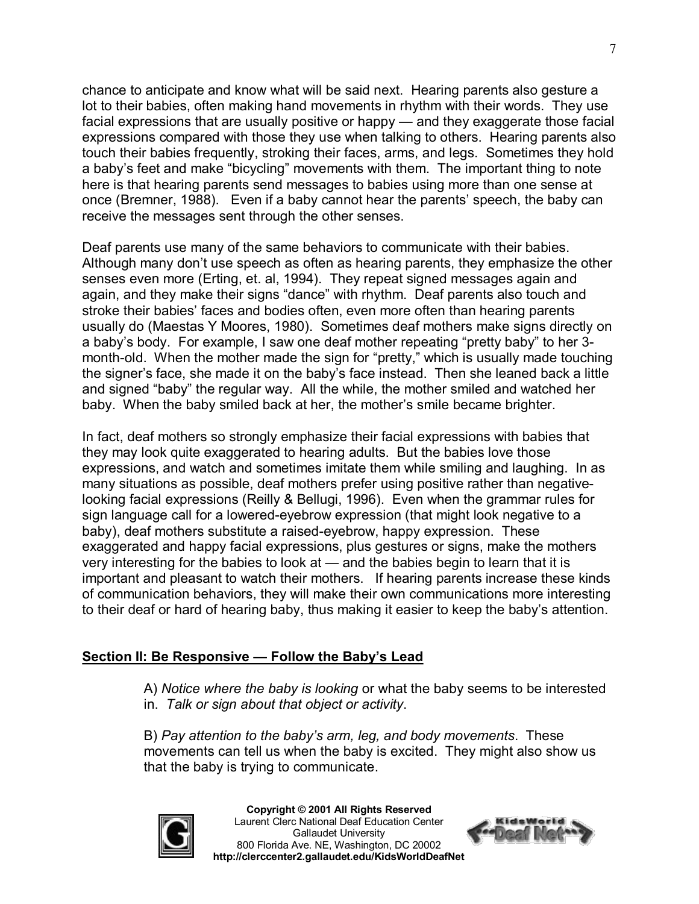chance to anticipate and know what will be said next. Hearing parents also gesture a lot to their babies, often making hand movements in rhythm with their words. They use facial expressions that are usually positive or happy — and they exaggerate those facial expressions compared with those they use when talking to others. Hearing parents also touch their babies frequently, stroking their faces, arms, and legs. Sometimes they hold a baby's feet and make "bicycling" movements with them. The important thing to note here is that hearing parents send messages to babies using more than one sense at once (Bremner, 1988). Even if a baby cannot hear the parents' speech, the baby can receive the messages sent through the other senses.

Deaf parents use many of the same behaviors to communicate with their babies. Although many don't use speech as often as hearing parents, they emphasize the other senses even more (Erting, et. al, 1994). They repeat signed messages again and again, and they make their signs "dance" with rhythm. Deaf parents also touch and stroke their babies' faces and bodies often, even more often than hearing parents usually do (Maestas Y Moores, 1980). Sometimes deaf mothers make signs directly on a baby's body. For example, I saw one deaf mother repeating "pretty baby" to her 3 month-old. When the mother made the sign for "pretty," which is usually made touching the signer's face, she made it on the baby's face instead. Then she leaned back a little and signed "baby" the regular way. All the while, the mother smiled and watched her baby. When the baby smiled back at her, the mother's smile became brighter.

In fact, deaf mothers so strongly emphasize their facial expressions with babies that they may look quite exaggerated to hearing adults. But the babies love those expressions, and watch and sometimes imitate them while smiling and laughing. In as many situations as possible, deaf mothers prefer using positive rather than negativelooking facial expressions (Reilly & Bellugi, 1996). Even when the grammar rules for sign language call for a lowered-evebrow expression (that might look negative to a baby), deaf mothers substitute a raised-eyebrow, happy expression. These exaggerated and happy facial expressions, plus gestures or signs, make the mothers very interesting for the babies to look at — and the babies begin to learn that it is important and pleasant to watch their mothers. If hearing parents increase these kinds of communication behaviors, they will make their own communications more interesting to their deaf or hard of hearing baby, thus making it easier to keep the baby's attention.

## **Section II: Be Responsive — Follow the Baby's Lead**

A) *Notice where the baby is looking* or what the baby seems to be interested in. *Talk or sign about that object or activity*.

B) *Pay attention to the baby's arm, leg, and body movements*. These movements can tell us when the baby is excited. They might also show us that the baby is trying to communicate.



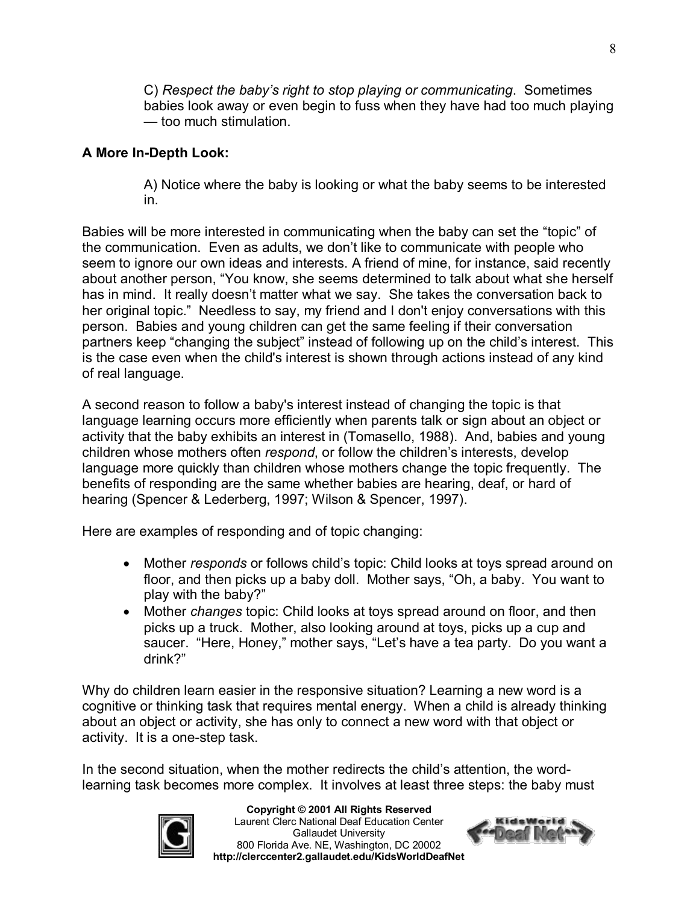C) *Respect the baby's right to stop playing or communicating*. Sometimes babies look away or even begin to fuss when they have had too much playing — too much stimulation.

## **A More In-Depth Look:**

A) Notice where the baby is looking or what the baby seems to be interested in.

Babies will be more interested in communicating when the baby can set the "topic" of the communication. Even as adults, we don't like to communicate with people who seem to ignore our own ideas and interests. A friend of mine, for instance, said recently about another person, "You know, she seems determined to talk about what she herself has in mind. It really doesn't matter what we say. She takes the conversation back to her original topic." Needless to say, my friend and I don't enjoy conversations with this person. Babies and young children can get the same feeling if their conversation partners keep "changing the subject" instead of following up on the child's interest. This is the case even when the child's interest is shown through actions instead of any kind of real language.

A second reason to follow a baby's interest instead of changing the topic is that language learning occurs more efficiently when parents talk or sign about an object or activity that the baby exhibits an interest in (Tomasello, 1988). And, babies and young children whose mothers often *respond*, or follow the children's interests, develop language more quickly than children whose mothers change the topic frequently. The benefits of responding are the same whether babies are hearing, deaf, or hard of hearing (Spencer & Lederberg, 1997; Wilson & Spencer, 1997).

Here are examples of responding and of topic changing:

- · Mother *responds* or follows child's topic: Child looks at toys spread around on floor, and then picks up a baby doll. Mother says, "Oh, a baby. You want to play with the baby?"
- · Mother *changes* topic: Child looks at toys spread around on floor, and then picks up a truck. Mother, also looking around at toys, picks up a cup and saucer. "Here, Honey," mother says, "Let's have a tea party. Do you want a drink?"

Why do children learn easier in the responsive situation? Learning a new word is a cognitive or thinking task that requires mental energy. When a child is already thinking about an object or activity, she has only to connect a new word with that object or activity. It is a one-step task.

In the second situation, when the mother redirects the child's attention, the wordlearning task becomes more complex. It involves at least three steps: the baby must



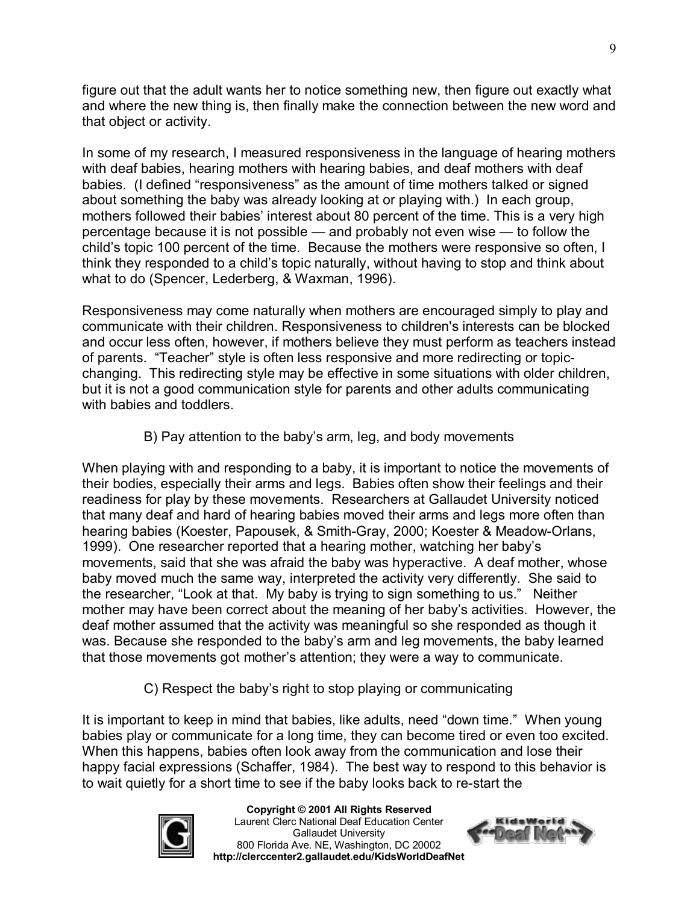figure out that the adult wants her to notice something new, then figure out exactly what and where the new thing is, then finally make the connection between the new word and that object or activity.

In some of my research, I measured responsiveness in the language of hearing mothers with deaf babies, hearing mothers with hearing babies, and deaf mothers with deaf babies. (I defined "responsiveness" as the amount of time mothers talked or signed about something the baby was already looking at or playing with.) In each group, mothers followed their babies' interest about 80 percent of the time. This is a very high percentage because it is not possible — and probably not even wise — to follow the child's topic 100 percent of the time. Because the mothers were responsive so often, I think they responded to a child's topic naturally, without having to stop and think about what to do (Spencer, Lederberg, & Waxman, 1996).

Responsiveness may come naturally when mothers are encouraged simply to play and communicate with their children. Responsiveness to children's interests can be blocked and occur less often, however, if mothers believe they must perform as teachers instead of parents. "Teacher" style is often less responsive and more redirecting or topicchanging. This redirecting style may be effective in some situations with older children, but it is not a good communication style for parents and other adults communicating with babies and toddlers.

B) Pay attention to the baby's arm, leg, and body movements

When playing with and responding to a baby, it is important to notice the movements of their bodies, especially their arms and legs. Babies often show their feelings and their readiness for play by these movements. Researchers at Gallaudet University noticed that many deaf and hard of hearing babies moved their arms and legs more often than hearing babies (Koester, Papousek, & Smith-Gray, 2000; Koester & Meadow-Orlans, 1999). One researcher reported that a hearing mother, watching her baby's movements, said that she was afraid the baby was hyperactive. A deaf mother, whose baby moved much the same way, interpreted the activity very differently. She said to the researcher, "Look at that. My baby is trying to sign something to us." Neither mother may have been correct about the meaning of her baby's activities. However, the deaf mother assumed that the activity was meaningful so she responded as though it was. Because she responded to the baby's arm and leg movements, the baby learned that those movements got mother's attention; they were a way to communicate.

C) Respect the baby's right to stop playing or communicating

It is important to keep in mind that babies, like adults, need "down time." When young babies play or communicate for a long time, they can become tired or even too excited. When this happens, babies often look away from the communication and lose their happy facial expressions (Schaffer, 1984). The best way to respond to this behavior is to wait quietly for a short time to see if the baby looks back to re-start the



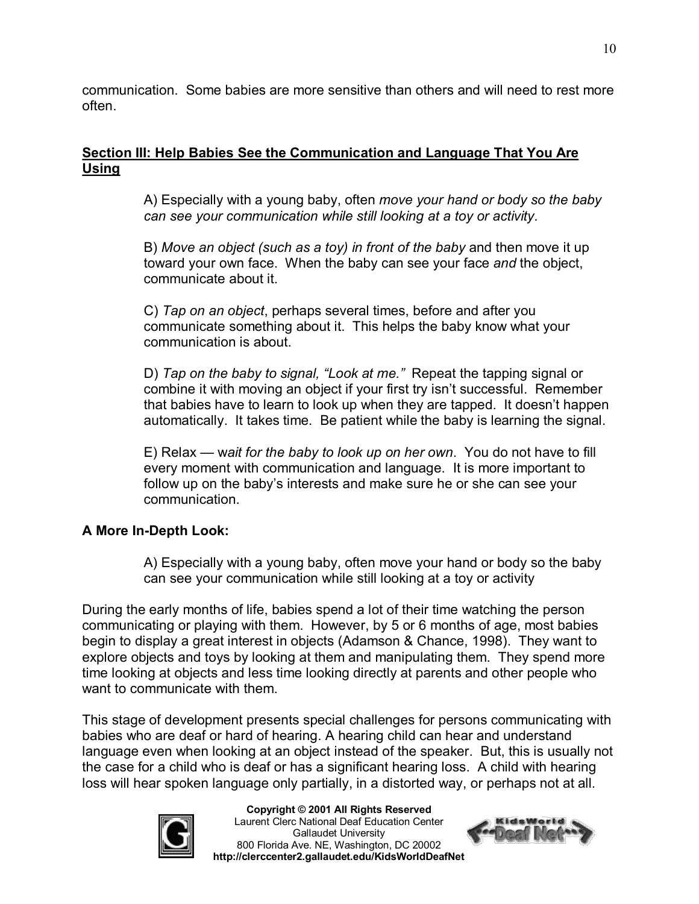communication. Some babies are more sensitive than others and will need to rest more often.

#### **Section III: Help Babies See the Communication and Language That You Are Using**

A) Especially with a young baby, often *move your hand or body so the baby can see your communication while still looking at a toy or activity*.

B) *Move an object (such as a toy) in front of the baby* and then move it up toward your own face. When the baby can see your face *and* the object, communicate about it.

C) *Tap on an object*, perhaps several times, before and after you communicate something about it. This helps the baby know what your communication is about.

D) *Tap on the baby to signal, "Look at me."* Repeat the tapping signal or combine it with moving an object if your first try isn't successful. Remember that babies have to learn to look up when they are tapped. It doesn't happen automatically. It takes time. Be patient while the baby is learning the signal.

E) Relax — w*ait for the baby to look up on her own*. You do not have to fill every moment with communication and language. It is more important to follow up on the baby's interests and make sure he or she can see your communication.

## **A** More In-Depth Look:

A) Especially with a young baby, often move your hand or body so the baby can see your communication while still looking at a toy or activity

During the early months of life, babies spend a lot of their time watching the person communicating or playing with them. However, by 5 or 6 months of age, most babies begin to display a great interest in objects (Adamson & Chance, 1998). They want to explore objects and toys by looking at them and manipulating them. They spend more time looking at objects and less time looking directly at parents and other people who want to communicate with them.

This stage of development presents special challenges for persons communicating with babies who are deaf or hard of hearing. A hearing child can hear and understand language even when looking at an object instead of the speaker. But, this is usually not the case for a child who is deaf or has a significant hearing loss. A child with hearing loss will hear spoken language only partially, in a distorted way, or perhaps not at all.



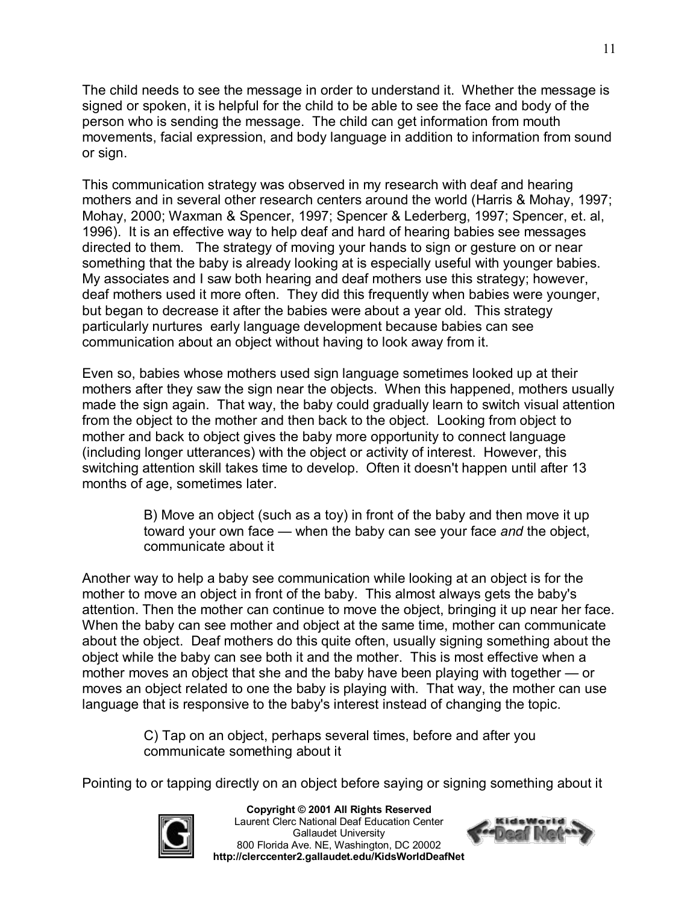The child needs to see the message in order to understand it. Whether the message is signed or spoken, it is helpful for the child to be able to see the face and body of the person who is sending the message. The child can get information from mouth movements, facial expression, and body language in addition to information from sound or sign.

This communication strategy was observed in my research with deaf and hearing mothers and in several other research centers around the world (Harris & Mohay, 1997; Mohay, 2000; Waxman & Spencer, 1997; Spencer & Lederberg, 1997; Spencer, et. al, 1996). It is an effective way to help deaf and hard of hearing babies see messages directed to them. The strategy of moving your hands to sign or gesture on or near something that the baby is already looking at is especially useful with younger babies. My associates and I saw both hearing and deaf mothers use this strategy; however, deaf mothers used it more often. They did this frequently when babies were younger, but began to decrease it after the babies were about a year old. This strategy particularly nurtures early language development because babies can see communication about an object without having to look away from it.

Even so, babies whose mothers used sign language sometimes looked up at their mothers after they saw the sign near the objects. When this happened, mothers usually made the sign again. That way, the baby could gradually learn to switch visual attention from the object to the mother and then back to the object. Looking from object to mother and back to object gives the baby more opportunity to connect language (including longer utterances) with the object or activity of interest. However, this switching attention skill takes time to develop. Often it doesn't happen until after 13 months of age, sometimes later.

> B) Move an object (such as a toy) in front of the baby and then move it up toward your own face — when the baby can see your face *and* the object, communicate about it

Another way to help a baby see communication while looking at an object is for the mother to move an object in front of the baby. This almost always gets the baby's attention. Then the mother can continue to move the object, bringing it up near her face. When the baby can see mother and object at the same time, mother can communicate about the object. Deaf mothers do this quite often, usually signing something about the object while the baby can see both it and the mother. This is most effective when a mother moves an object that she and the baby have been playing with together — or moves an object related to one the baby is playing with. That way, the mother can use language that is responsive to the baby's interest instead of changing the topic.

> C) Tap on an object, perhaps several times, before and after you communicate something about it

Pointing to or tapping directly on an object before saying or signing something about it



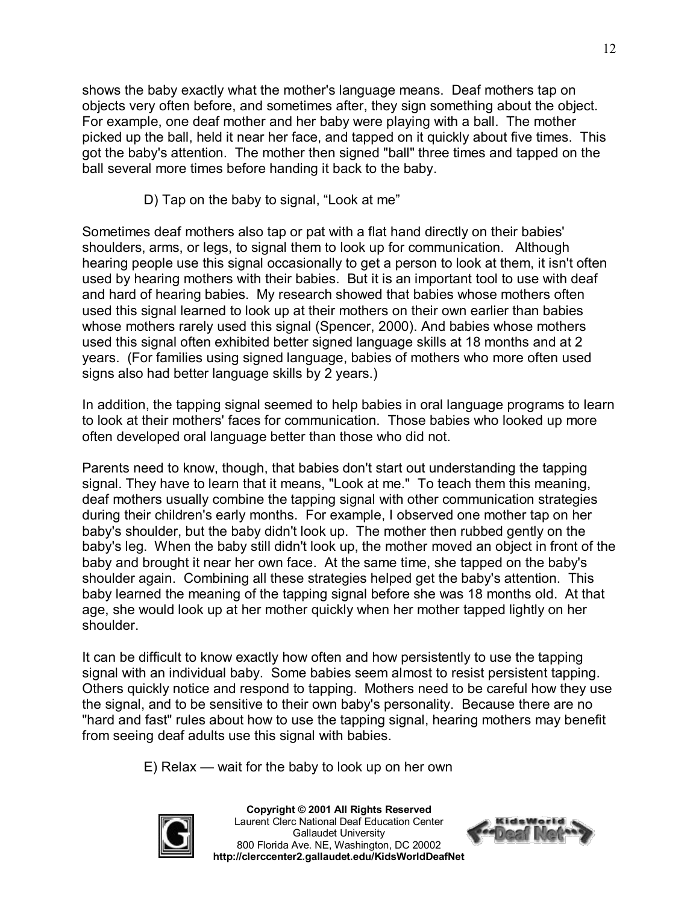shows the baby exactly what the mother's language means. Deaf mothers tap on objects very often before, and sometimes after, they sign something about the object. For example, one deaf mother and her baby were playing with a ball. The mother picked up the ball, held it near her face, and tapped on it quickly about five times. This got the baby's attention. The mother then signed "ball" three times and tapped on the ball several more times before handing it back to the baby.

D) Tap on the baby to signal, "Look at me"

Sometimes deaf mothers also tap or pat with a flat hand directly on their babies' shoulders, arms, or legs, to signal them to look up for communication. Although hearing people use this signal occasionally to get a person to look at them, it isn't often used by hearing mothers with their babies. But it is an important tool to use with deaf and hard of hearing babies. My research showed that babies whose mothers often used this signal learned to look up at their mothers on their own earlier than babies whose mothers rarely used this signal (Spencer, 2000). And babies whose mothers used this signal often exhibited better signed language skills at 18 months and at 2 years. (For families using signed language, babies of mothers who more often used signs also had better language skills by 2 years.)

In addition, the tapping signal seemed to help babies in oral language programs to learn to look at their mothers' faces for communication. Those babies who looked up more often developed oral language better than those who did not.

Parents need to know, though, that babies don't start out understanding the tapping signal. They have to learn that it means, "Look at me." To teach them this meaning, deaf mothers usually combine the tapping signal with other communication strategies during their children's early months. For example, I observed one mother tap on her baby's shoulder, but the baby didn't look up. The mother then rubbed gently on the baby's leg. When the baby still didn't look up, the mother moved an object in front of the baby and brought it near her own face. At the same time, she tapped on the baby's shoulder again. Combining all these strategies helped get the baby's attention. This baby learned the meaning of the tapping signal before she was 18 months old. At that age, she would look up at her mother quickly when her mother tapped lightly on her shoulder.

It can be difficult to know exactly how often and how persistently to use the tapping signal with an individual baby. Some babies seem almost to resist persistent tapping. Others quickly notice and respond to tapping. Mothers need to be careful how they use the signal, and to be sensitive to their own baby's personality. Because there are no "hard and fast" rules about how to use the tapping signal, hearing mothers may benefit from seeing deaf adults use this signal with babies.

E) Relax — wait for the baby to look up on her own



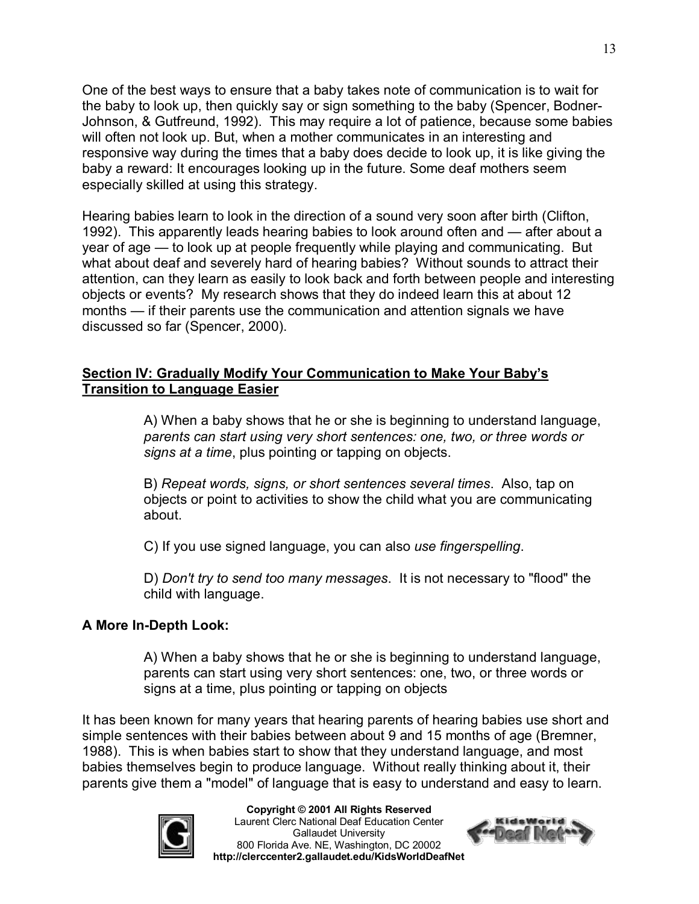One of the best ways to ensure that a baby takes note of communication is to wait for the baby to look up, then quickly say or sign something to the baby (Spencer, Bodner Johnson, & Gutfreund, 1992). This may require a lot of patience, because some babies will often not look up. But, when a mother communicates in an interesting and responsive way during the times that a baby does decide to look up, it is like giving the baby a reward: It encourages looking up in the future. Some deaf mothers seem especially skilled at using this strategy.

Hearing babies learn to look in the direction of a sound very soon after birth (Clifton, 1992). This apparently leads hearing babies to look around often and — after about a year of age — to look up at people frequently while playing and communicating. But what about deaf and severely hard of hearing babies? Without sounds to attract their attention, can they learn as easily to look back and forth between people and interesting objects or events? My research shows that they do indeed learn this at about 12 months — if their parents use the communication and attention signals we have discussed so far (Spencer, 2000).

#### **Section IV: Gradually Modify Your Communication to Make Your Baby's Transition to Language Easier**

A) When a baby shows that he or she is beginning to understand language, *parents can start using very short sentences: one, two, or three words or signs at a time*, plus pointing or tapping on objects.

B) *Repeat words, signs, or short sentences several times*. Also, tap on objects or point to activities to show the child what you are communicating about.

C) If you use signed language, you can also *use fingerspelling*.

D) *Don't try to send too many messages*. It is not necessary to "flood" the child with language.

#### **A** More In-Depth Look:

A) When a baby shows that he or she is beginning to understand language, parents can start using very short sentences: one, two, or three words or signs at a time, plus pointing or tapping on objects

It has been known for many years that hearing parents of hearing babies use short and simple sentences with their babies between about 9 and 15 months of age (Bremner, 1988). This is when babies start to show that they understand language, and most babies themselves begin to produce language. Without really thinking about it, their parents give them a "model" of language that is easy to understand and easy to learn.



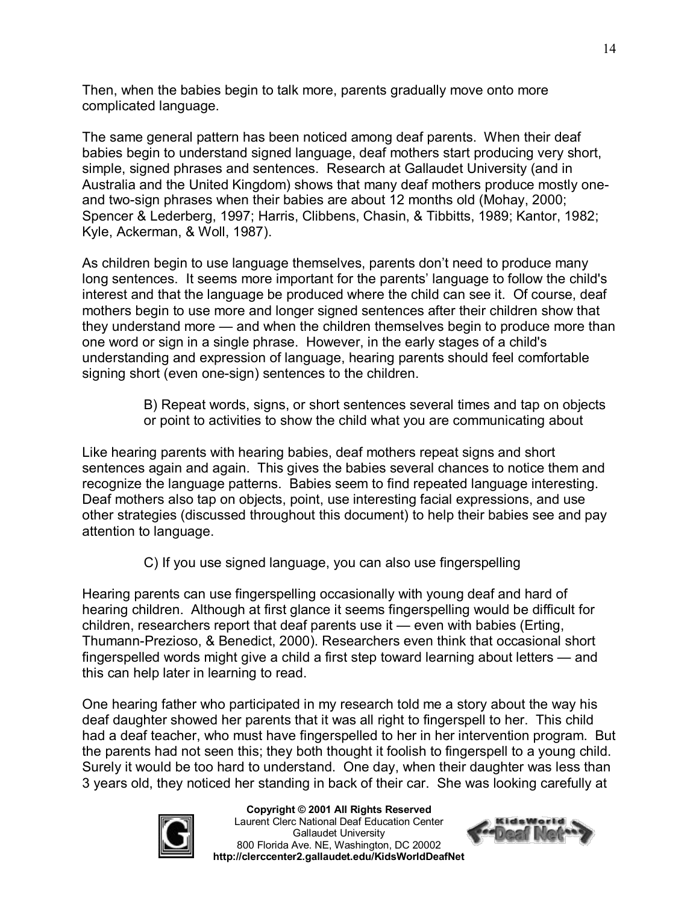Then, when the babies begin to talk more, parents gradually move onto more complicated language.

The same general pattern has been noticed among deaf parents. When their deaf babies begin to understand signed language, deaf mothers start producing very short, simple, signed phrases and sentences. Research at Gallaudet University (and in Australia and the United Kingdom) shows that many deaf mothers produce mostly oneand two-sign phrases when their babies are about 12 months old (Mohay, 2000; Spencer & Lederberg, 1997; Harris, Clibbens, Chasin, & Tibbitts, 1989; Kantor, 1982; Kyle, Ackerman, & Woll, 1987).

As children begin to use language themselves, parents don't need to produce many long sentences. It seems more important for the parents' language to follow the child's interest and that the language be produced where the child can see it. Of course, deaf mothers begin to use more and longer signed sentences after their children show that they understand more — and when the children themselves begin to produce more than one word or sign in a single phrase. However, in the early stages of a child's understanding and expression of language, hearing parents should feel comfortable signing short (even one-sign) sentences to the children.

> B) Repeat words, signs, or short sentences several times and tap on objects or point to activities to show the child what you are communicating about

Like hearing parents with hearing babies, deaf mothers repeat signs and short sentences again and again. This gives the babies several chances to notice them and recognize the language patterns. Babies seem to find repeated language interesting. Deaf mothers also tap on objects, point, use interesting facial expressions, and use other strategies (discussed throughout this document) to help their babies see and pay attention to language.

C) If you use signed language, you can also use fingerspelling

Hearing parents can use fingerspelling occasionally with young deaf and hard of hearing children. Although at first glance it seems fingerspelling would be difficult for children, researchers report that deaf parents use it — even with babies (Erting, Thumann-Prezioso, & Benedict, 2000). Researchers even think that occasional short fingerspelled words might give a child a first step toward learning about letters — and this can help later in learning to read.

One hearing father who participated in my research told me a story about the way his deaf daughter showed her parents that it was all right to fingerspell to her. This child had a deaf teacher, who must have fingerspelled to her in her intervention program. But the parents had not seen this; they both thought it foolish to fingerspell to a young child. Surely it would be too hard to understand. One day, when their daughter was less than 3 years old, they noticed her standing in back of their car. She was looking carefully at



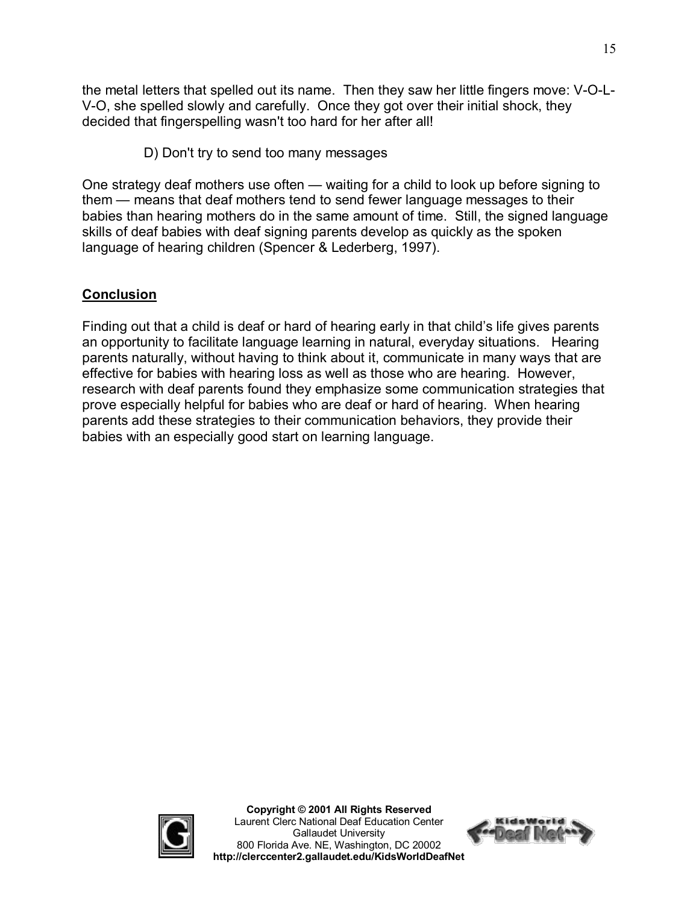the metal letters that spelled out its name. Then they saw her little fingers move: V-O-L-V-O, she spelled slowly and carefully. Once they got over their initial shock, they decided that fingerspelling wasn't too hard for her after all!

D) Don't try to send too many messages

One strategy deaf mothers use often — waiting for a child to look up before signing to them — means that deaf mothers tend to send fewer language messages to their babies than hearing mothers do in the same amount of time. Still, the signed language skills of deaf babies with deaf signing parents develop as quickly as the spoken language of hearing children (Spencer & Lederberg, 1997).

# **Conclusion**

Finding out that a child is deaf or hard of hearing early in that child's life gives parents an opportunity to facilitate language learning in natural, everyday situations. Hearing parents naturally, without having to think about it, communicate in many ways that are effective for babies with hearing loss as well as those who are hearing. However, research with deaf parents found they emphasize some communication strategies that prove especially helpful for babies who are deaf or hard of hearing. When hearing parents add these strategies to their communication behaviors, they provide their babies with an especially good start on learning language.



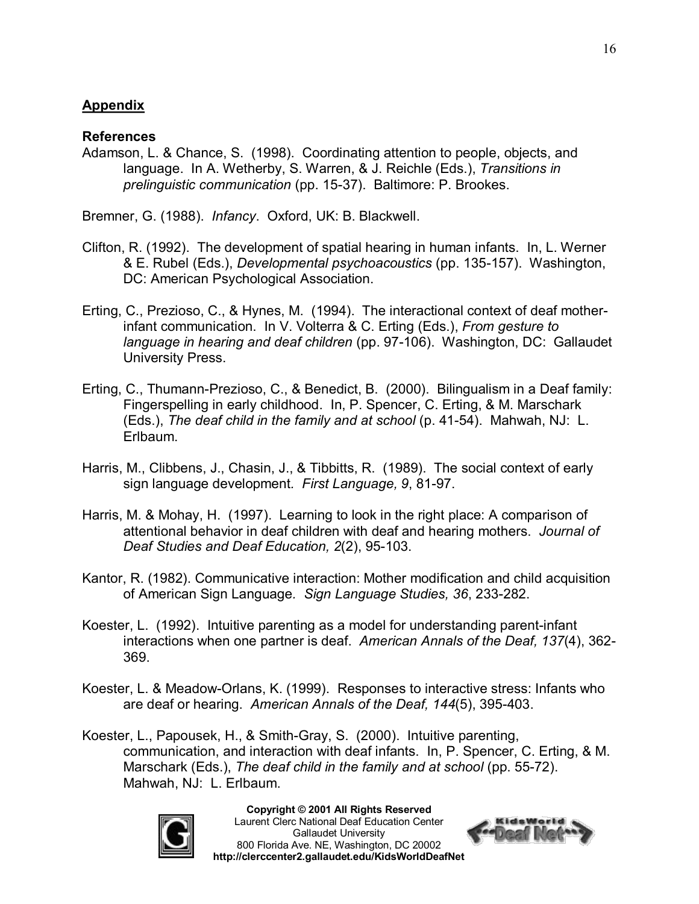## **Appendix**

## **References**

Adamson, L. & Chance, S. (1998). Coordinating attention to people, objects, and language. In A. Wetherby, S. Warren, & J. Reichle (Eds.), *Transitions in prelinguistic communication* (pp. 1537). Baltimore: P. Brookes.

Bremner, G. (1988). *Infancy*. Oxford, UK: B. Blackwell.

- Clifton, R. (1992). The development of spatial hearing in human infants. In, L. Werner & E. Rubel (Eds.), *Developmental psychoacoustics* (pp. 135-157). Washington, DC: American Psychological Association.
- Erting, C., Prezioso, C., & Hynes, M. (1994). The interactional context of deaf motherinfant communication. In V. Volterra & C. Erting (Eds.), *From gesture to language in hearing and deaf children* (pp. 97-106). Washington, DC: Gallaudet University Press.
- Erting, C., Thumann-Prezioso, C., & Benedict, B. (2000). Bilingualism in a Deaf family: Fingerspelling in early childhood. In, P. Spencer, C. Erting, & M. Marschark (Eds.), *The deaf child in the family and at school* (p. 4154). Mahwah, NJ: L. Erlbaum.
- Harris, M., Clibbens, J., Chasin, J., & Tibbitts, R. (1989). The social context of early sign language development. First Language, 9, 81-97.
- Harris, M. & Mohay, H. (1997). Learning to look in the right place: A comparison of attentional behavior in deaf children with deaf and hearing mothers. *Journal of* **Deaf Studies and Deaf Education, 2(2), 95-103.**
- Kantor, R. (1982). Communicative interaction: Mother modification and child acquisition of American Sign Language. Sign Language Studies, 36, 233-282.
- Koester, L. (1992). Intuitive parenting as a model for understanding parent-infant interactions when one partner is deaf. *American Annals of the Deaf, 137*(4), 362 369.
- Koester, L. & Meadow-Orlans, K. (1999). Responses to interactive stress: Infants who are deaf or hearing. American Annals of the Deaf, 144(5), 395-403.
- Koester, L., Papousek, H., & Smith-Gray, S. (2000). Intuitive parenting, communication, and interaction with deaf infants. In, P. Spencer, C. Erting, & M. Marschark (Eds.), The deaf child in the family and at school (pp. 55-72). Mahwah, NJ: L. Erlbaum.



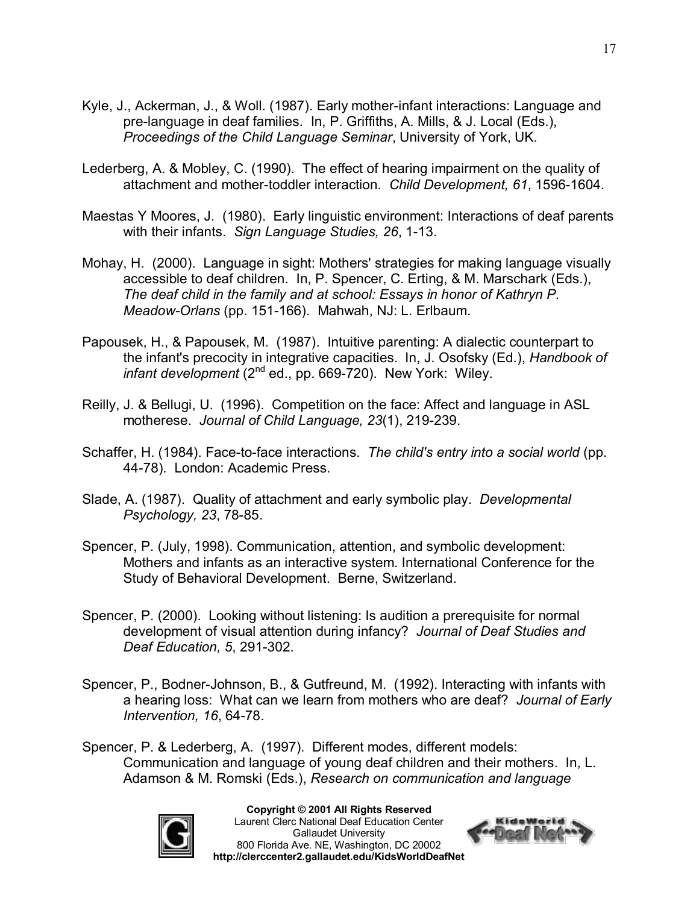- Kyle, J., Ackerman, J., & Woll. (1987). Early mother-infant interactions: Language and prelanguage in deaf families. In, P. Griffiths, A. Mills, & J. Local (Eds.), *Proceedings of the Child Language Seminar*, University of York, UK.
- Lederberg, A. & Mobley, C. (1990). The effect of hearing impairment on the quality of attachment and mother-toddler interaction. Child Development, 61, 1596-1604.
- Maestas Y Moores, J. (1980). Early linguistic environment: Interactions of deaf parents with their infants. *Sign Language Studies, 26, 1-13.*
- Mohay, H. (2000). Language in sight: Mothers' strategies for making language visually accessible to deaf children. In, P. Spencer, C. Erting, & M. Marschark (Eds.), *The deaf child in the family and at school: Essays in honor of Kathryn P. Meadow-Orlans* (pp. 151-166). Mahwah, NJ: L. Erlbaum.
- Papousek, H., & Papousek, M. (1987). Intuitive parenting: A dialectic counterpart to the infant's precocity in integrative capacities. In, J. Osofsky (Ed.), *Handbook of infant development* (2<sup>nd</sup> ed., pp. 669-720). New York: Wiley.
- Reilly, J. & Bellugi, U. (1996). Competition on the face: Affect and language in ASL motherese. *Journal of Child Language, 23(1), 219-239.*
- Schaffer, H. (1984). Face-to-face interactions. *The child's entry into a social world* (pp. 4478). London: Academic Press.
- Slade, A. (1987). Quality of attachment and early symbolic play. *Developmental Psychology, 23, 78-85.*
- Spencer, P. (July, 1998). Communication, attention, and symbolic development: Mothers and infants as an interactive system. International Conference for the Study of Behavioral Development. Berne, Switzerland.
- Spencer, P. (2000). Looking without listening: Is audition a prerequisite for normal development of visual attention during infancy? *Journal of Deaf Studies and* **Deaf Education, 5, 291-302.**
- Spencer, P., Bodner-Johnson, B., & Gutfreund, M. (1992). Interacting with infants with a hearing loss: What can we learn from mothers who are deaf? *Journal of Early Intervention, 16, 64-78.*
- Spencer, P. & Lederberg, A. (1997). Different modes, different models: Communication and language of young deaf children and their mothers. In, L. Adamson & M. Romski (Eds.), *Research on communication and language*



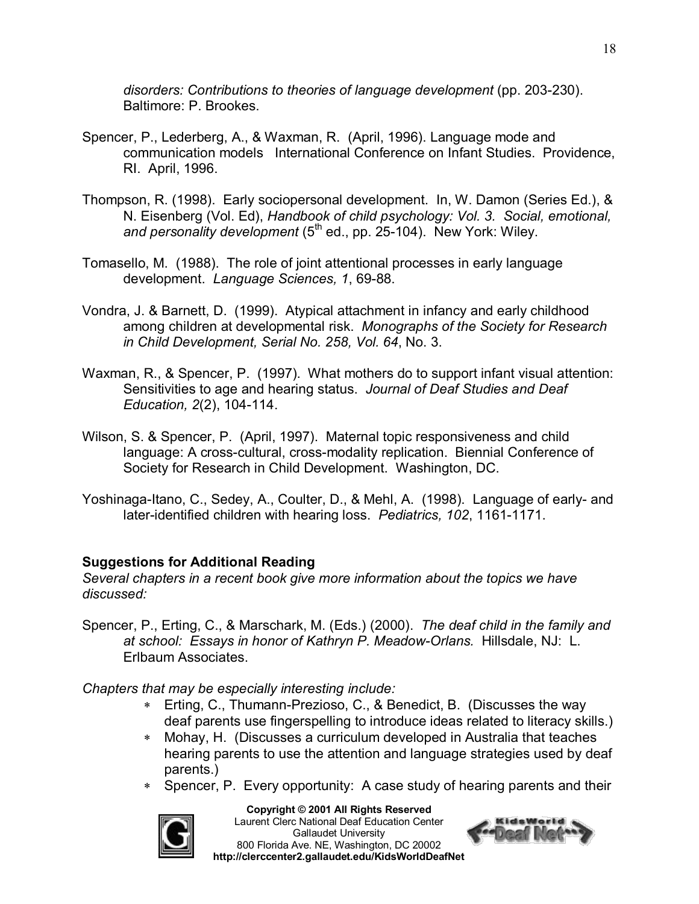disorders: Contributions to theories of language development (pp. 203-230). Baltimore: P. Brookes.

- Spencer, P., Lederberg, A., & Waxman, R. (April, 1996). Language mode and communication models International Conference on Infant Studies. Providence, RI. April, 1996.
- Thompson, R. (1998). Early sociopersonal development. In, W. Damon (Series Ed.), & N. Eisenberg (Vol. Ed), *Handbook of child psychology: Vol. 3. Social, emotional,*  and personality development (5<sup>th</sup> ed., pp. 25-104). New York: Wiley.
- Tomasello, M. (1988). The role of joint attentional processes in early language development. Language Sciences, 1, 69-88.
- Vondra, J. & Barnett, D. (1999). Atypical attachment in infancy and early childhood among children at developmental risk. *Monographs of the Society for Research in Child Development, Serial No. 258, Vol. 64*, No. 3.
- Waxman, R., & Spencer, P. (1997). What mothers do to support infant visual attention: Sensitivities to age and hearing status. *Journal of Deaf Studies and Deaf Education, 2(2), 104-114.*
- Wilson, S. & Spencer, P. (April, 1997). Maternal topic responsiveness and child language: A cross-cultural, cross-modality replication. Biennial Conference of Society for Research in Child Development. Washington, DC.
- Yoshinaga-Itano, C., Sedey, A., Coulter, D., & Mehl, A. (1998). Language of early- and later-identified children with hearing loss. Pediatrics, 102, 1161-1171.

## **Suggestions for Additional Reading**

*Several chapters in a recent book give more information about the topics we have discussed:*

Spencer, P., Erting, C., & Marschark, M. (Eds.) (2000). *The deaf child in the family and at school: Essays in honor of Kathryn P. MeadowOrlans.* Hillsdale, NJ: L. Erlbaum Associates.

*Chapters that may be especially interesting include:*

- \* Erting, C., Thumann-Prezioso, C., & Benedict, B. (Discusses the way deaf parents use fingerspelling to introduce ideas related to literacy skills.)
- \* Mohay, H. (Discusses a curriculum developed in Australia that teaches hearing parents to use the attention and language strategies used by deaf parents.)
- Spencer, P. Every opportunity: A case study of hearing parents and their